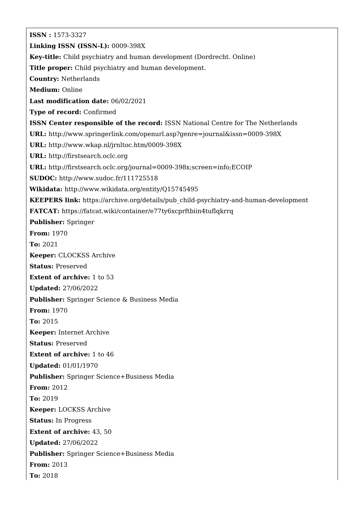**ISSN :** 1573-3327 **Linking ISSN (ISSN-L):** 0009-398X **Key-title:** Child psychiatry and human development (Dordrecht. Online) **Title proper:** Child psychiatry and human development. **Country:** Netherlands **Medium:** Online **Last modification date:** 06/02/2021 **Type of record:** Confirmed **ISSN Center responsible of the record:** ISSN National Centre for The Netherlands **URL:** <http://www.springerlink.com/openurl.asp?genre=journal&issn=0009-398X> **URL:** <http://www.wkap.nl/jrnltoc.htm/0009-398X> **URL:** <http://firstsearch.oclc.org> **URL:** <http://firstsearch.oclc.org/journal=0009-398x;screen=info;ECOIP> **SUDOC:** <http://www.sudoc.fr/111725518> **Wikidata:** <http://www.wikidata.org/entity/Q15745495> **KEEPERS link:** [https://archive.org/details/pub\\_child-psychiatry-and-human-development](https://archive.org/details/pub_child-psychiatry-and-human-development) **FATCAT:** <https://fatcat.wiki/container/e77ty6xcprftbiin4tuflqkrrq> **Publisher:** Springer **From:** 1970 **To:** 2021 **Keeper:** CLOCKSS Archive **Status:** Preserved **Extent of archive:** 1 to 53 **Updated:** 27/06/2022 **Publisher:** Springer Science & Business Media **From:** 1970 **To:** 2015 **Keeper:** Internet Archive **Status:** Preserved **Extent of archive:** 1 to 46 **Updated:** 01/01/1970 **Publisher:** Springer Science+Business Media **From:** 2012 **To:** 2019 **Keeper:** LOCKSS Archive **Status:** In Progress **Extent of archive:** 43, 50 **Updated:** 27/06/2022 **Publisher:** Springer Science+Business Media **From:** 2013 **To:** 2018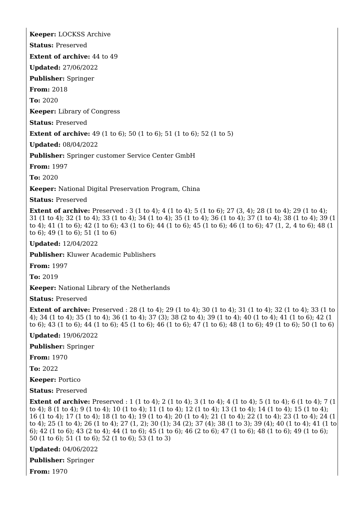**Keeper:** LOCKSS Archive

**Status:** Preserved

**Extent of archive:** 44 to 49

**Updated:** 27/06/2022

**Publisher:** Springer

**From:** 2018

**To:** 2020

**Keeper:** Library of Congress

**Status:** Preserved

**Extent of archive:** 49 (1 to 6); 50 (1 to 6); 51 (1 to 6); 52 (1 to 5)

**Updated:** 08/04/2022

**Publisher:** Springer customer Service Center GmbH

**From:** 1997

**To:** 2020

**Keeper:** National Digital Preservation Program, China

**Status:** Preserved

**Extent of archive:** Preserved : 3 (1 to 4); 4 (1 to 4); 5 (1 to 6); 27 (3, 4); 28 (1 to 4); 29 (1 to 4); 31 (1 to 4); 32 (1 to 4); 33 (1 to 4); 34 (1 to 4); 35 (1 to 4); 36 (1 to 4); 37 (1 to 4); 38 (1 to 4); 39 (1 to 4); 41 (1 to 6); 42 (1 to 6); 43 (1 to 6); 44 (1 to 6); 45 (1 to 6); 46 (1 to 6); 47 (1, 2, 4 to 6); 48 (1 to 6); 49 (1 to 6); 51 (1 to 6)

**Updated:** 12/04/2022

**Publisher:** Kluwer Academic Publishers

**From:** 1997

**To:** 2019

**Keeper:** National Library of the Netherlands

**Status:** Preserved

**Extent of archive:** Preserved : 28 (1 to 4); 29 (1 to 4); 30 (1 to 4); 31 (1 to 4); 32 (1 to 4); 33 (1 to 4); 34 (1 to 4); 35 (1 to 4); 36 (1 to 4); 37 (3); 38 (2 to 4); 39 (1 to 4); 40 (1 to 4); 41 (1 to 6); 42 (1 to 6); 43 (1 to 6); 44 (1 to 6); 45 (1 to 6); 46 (1 to 6); 47 (1 to 6); 48 (1 to 6); 49 (1 to 6); 50 (1 to 6)

**Updated:** 19/06/2022

**Publisher:** Springer

**From:** 1970

**To:** 2022

**Keeper:** Portico

**Status:** Preserved

**Extent of archive:** Preserved : 1 (1 to 4); 2 (1 to 4); 3 (1 to 4); 4 (1 to 4); 5 (1 to 4); 6 (1 to 4); 7 (1 to 4); 8 (1 to 4); 9 (1 to 4); 10 (1 to 4); 11 (1 to 4); 12 (1 to 4); 13 (1 to 4); 14 (1 to 4); 15 (1 to 4); 16 (1 to 4); 17 (1 to 4); 18 (1 to 4); 19 (1 to 4); 20 (1 to 4); 21 (1 to 4); 22 (1 to 4); 23 (1 to 4); 24 (1 to 4); 25 (1 to 4); 26 (1 to 4); 27 (1, 2); 30 (1); 34 (2); 37 (4); 38 (1 to 3); 39 (4); 40 (1 to 4); 41 (1 to 6); 42 (1 to 6); 43 (2 to 4); 44 (1 to 6); 45 (1 to 6); 46 (2 to 6); 47 (1 to 6); 48 (1 to 6); 49 (1 to 6); 50 (1 to 6); 51 (1 to 6); 52 (1 to 6); 53 (1 to 3)

**Updated:** 04/06/2022

**Publisher:** Springer

**From:** 1970